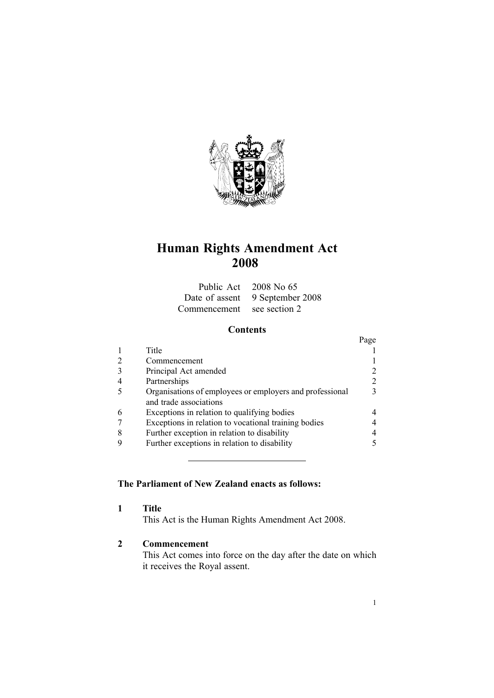

# **Human Rights Amendment Act 2008**

|                            | Public Act 2008 No 65           |
|----------------------------|---------------------------------|
|                            | Date of assent 9 September 2008 |
| Commencement see section 2 |                                 |

# **Contents**

|                                                                                    | Page          |
|------------------------------------------------------------------------------------|---------------|
| Title                                                                              |               |
| Commencement                                                                       |               |
| Principal Act amended                                                              |               |
| Partnerships                                                                       | 2             |
| Organisations of employees or employers and professional<br>and trade associations | $\mathcal{F}$ |
| Exceptions in relation to qualifying bodies                                        | 4             |
| Exceptions in relation to vocational training bodies                               |               |
| Further exception in relation to disability                                        | 4             |
| Further exceptions in relation to disability                                       |               |

# **The Parliament of New Zealand enacts as follows:**

**1 Title**

This Act is the Human Rights Amendment Act 2008.

# **2 Commencement**

This Act comes into force on the day after the date on which it receives the Royal assent.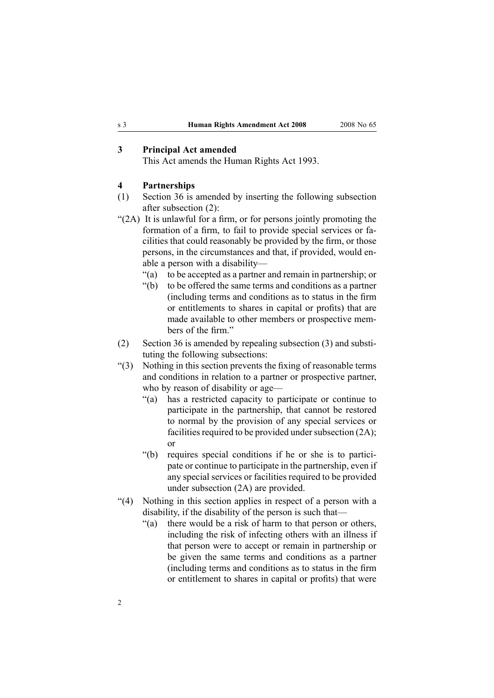### <span id="page-1-0"></span>**3 Principal Act amended**

This Act amends the Human [Rights](http://www.legislation.govt.nz/pdfLink.aspx?id=DLM304211) Act 1993.

#### **4 Partnerships**

- (1) [Section](http://www.legislation.govt.nz/pdfLink.aspx?id=DLM304606) 36 is amended by inserting the following subsection after subsection (2):
- "(2A) It is unlawful for <sup>a</sup> firm, or for persons jointly promoting the formation of <sup>a</sup> firm, to fail to provide special services or facilities that could reasonably be provided by the firm, or those persons, in the circumstances and that, if provided, would enable <sup>a</sup> person with <sup>a</sup> disability—
	- "(a) to be accepted as <sup>a</sup> partner and remain in partnership; or
	- "(b) to be offered the same terms and conditions as <sup>a</sup> partner (including terms and conditions as to status in the firm or entitlements to shares in capital or profits) that are made available to other members or prospective members of the firm."
- (2) [Section](http://www.legislation.govt.nz/pdfLink.aspx?id=DLM304606) 36 is amended by repealing subsection (3) and substituting the following subsections:
- "(3) Nothing in this section prevents the fixing of reasonable terms and conditions in relation to a partner or prospective partner, who by reason of disability or age—
	- "(a) has <sup>a</sup> restricted capacity to participate or continue to participate in the partnership, that cannot be restored to normal by the provision of any special services or facilities required to be provided under subsection  $(2A)$ ; or
	- "(b) requires special conditions if he or she is to participate or continue to participate in the partnership, even if any special services or facilities required to be provided under subsection (2A) are provided.
- "(4) Nothing in this section applies in respec<sup>t</sup> of <sup>a</sup> person with <sup>a</sup> disability, if the disability of the person is such that—
	- "(a) there would be <sup>a</sup> risk of harm to that person or others, including the risk of infecting others with an illness if that person were to accep<sup>t</sup> or remain in partnership or be given the same terms and conditions as <sup>a</sup> partner (including terms and conditions as to status in the firm or entitlement to shares in capital or profits) that were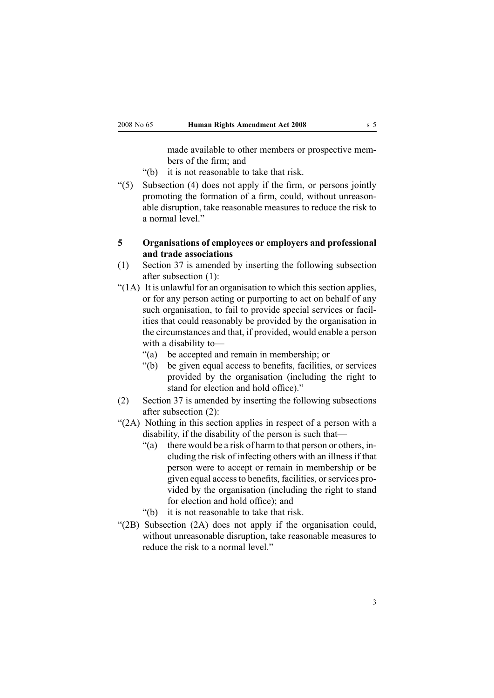made available to other members or prospective members of the firm; and

- "(b) it is not reasonable to take that risk.
- <span id="page-2-0"></span>"(5) Subsection (4) does not apply if the firm, or persons jointly promoting the formation of <sup>a</sup> firm, could, without unreasonable disruption, take reasonable measures to reduce the risk to a normal level."
- **5 Organisations of employees or employers and professional and trade associations**
- (1) [Section](http://www.legislation.govt.nz/pdfLink.aspx?id=DLM304608) 37 is amended by inserting the following subsection after subsection (1):
- " $(1A)$  It is unlawful for an organisation to which this section applies, or for any person acting or purporting to act on behalf of any such organisation, to fail to provide special services or facilities that could reasonably be provided by the organisation in the circumstances and that, if provided, would enable <sup>a</sup> person with <sup>a</sup> disability to—
	- "(a) be accepted and remain in membership; or
	- "(b) be given equal access to benefits, facilities, or services provided by the organisation (including the right to stand for election and hold office)."
- (2) [Section](http://www.legislation.govt.nz/pdfLink.aspx?id=DLM304608) 37 is amended by inserting the following subsections after subsection (2):
- "(2A) Nothing in this section applies in respec<sup>t</sup> of <sup>a</sup> person with <sup>a</sup> disability, if the disability of the person is such that—
	- "(a) there would be <sup>a</sup> risk of harm to that person or others, including the risk of infecting others with an illness if that person were to accep<sup>t</sup> or remain in membership or be given equal accessto benefits, facilities, orservices provided by the organisation (including the right to stand for election and hold office); and
	- "(b) it is not reasonable to take that risk.
- "(2B) Subsection (2A) does not apply if the organisation could, without unreasonable disruption, take reasonable measures to reduce the risk to a normal level."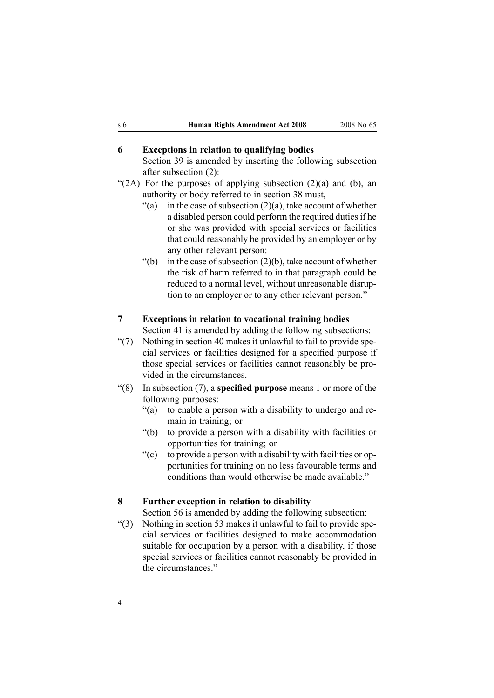# <span id="page-3-0"></span>**6 Exceptions in relation to qualifying bodies**

[Section](http://www.legislation.govt.nz/pdfLink.aspx?id=DLM304611) 39 is amended by inserting the following subsection after subsection (2):

- "(2A) For the purposes of applying subsection  $(2)(a)$  and  $(b)$ , an authority or body referred to in section 38 must,—
	- "(a) in the case of subsection  $(2)(a)$ , take account of whether a disabled person could perform the required duties if he or she was provided with special services or facilities that could reasonably be provided by an employer or by any other relevant person:
	- $'(b)$  in the case of subsection (2)(b), take account of whether the risk of harm referred to in that paragraph could be reduced to <sup>a</sup> normal level, without unreasonable disruption to an employer or to any other relevant person."

#### **7 Exceptions in relation to vocational training bodies**

[Section](http://www.legislation.govt.nz/pdfLink.aspx?id=DLM304613) 41 is amended by adding the following subsections:

- "(7) Nothing in section 40 makes it unlawful to fail to provide special services or facilities designed for <sup>a</sup> specified purpose if those special services or facilities cannot reasonably be provided in the circumstances.
- "(8) In subsection (7), <sup>a</sup> **specified purpose** means 1 or more of the following purposes:
	- "(a) to enable <sup>a</sup> person with <sup>a</sup> disability to undergo and remain in training; or
	- "(b) to provide <sup>a</sup> person with <sup>a</sup> disability with facilities or opportunities for training; or
	- " $(c)$  to provide a person with a disability with facilities or opportunities for training on no less favourable terms and conditions than would otherwise be made available."

#### **8 Further exception in relation to disability**

[Section](http://www.legislation.govt.nz/pdfLink.aspx?id=DLM304635) 56 is amended by adding the following subsection:

"(3) Nothing in section 53 makes it unlawful to fail to provide special services or facilities designed to make accommodation suitable for occupation by <sup>a</sup> person with <sup>a</sup> disability, if those special services or facilities cannot reasonably be provided in the circumstances."